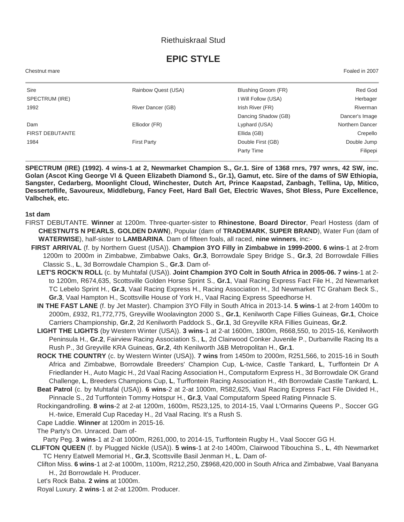## Riethuiskraal Stud

# **EPIC STYLE**

Chestnut mare Foaled in 2007

| Sire                   | Rainbow Quest (USA) | Blushing Groom (FR) | Red God         |
|------------------------|---------------------|---------------------|-----------------|
| SPECTRUM (IRE)         |                     | I Will Follow (USA) | Herbager        |
| 1992                   | River Dancer (GB)   | Irish River (FR)    | Riverman        |
|                        |                     | Dancing Shadow (GB) | Dancer's Image  |
| Dam                    | Elliodor (FR)       | Lyphard (USA)       | Northern Dancer |
| <b>FIRST DEBUTANTE</b> |                     | Ellida (GB)         | Crepello        |
| 1984                   | <b>First Party</b>  | Double First (GB)   | Double Jump     |
|                        |                     | Party Time          | Filipepi        |

**SPECTRUM (IRE) (1992). 4 wins-1 at 2, Newmarket Champion S., Gr.1. Sire of 1368 rnrs, 797 wnrs, 42 SW, inc. Golan (Ascot King George VI & Queen Elizabeth Diamond S., Gr.1), Gamut, etc. Sire of the dams of SW Ethiopia, Sangster, Cedarberg, Moonlight Cloud, Winchester, Dutch Art, Prince Kaapstad, Zanbagh, Tellina, Up, Mitico, Dessertoflife, Savoureux, Middleburg, Fancy Feet, Hard Ball Get, Electric Waves, Shot Bless, Pure Excellence, Valbchek, etc.**

#### **1st dam**

- FIRST DEBUTANTE. **Winner** at 1200m. Three-quarter-sister to **Rhinestone**, **Board Director**, Pearl Hostess (dam of **CHESTNUTS N PEARLS**, **GOLDEN DAWN**), Popular (dam of **TRADEMARK**, **SUPER BRAND**), Water Fun (dam of **WATERWISE**), half-sister to **LAMBARINA**. Dam of fifteen foals, all raced, **nine winners**, inc:-
	- **FIRST ARRIVAL** (f. by Northern Guest (USA)). **Champion 3YO Filly in Zimbabwe in 1999-2000. 6 wins**-1 at 2-from 1200m to 2000m in Zimbabwe, Zimbabwe Oaks, **Gr.3**, Borrowdale Spey Bridge S., **Gr.3**, 2d Borrowdale Fillies Classic S., **L**, 3d Borrowdale Champion S., **Gr.3**. Dam of-
		- **LET'S ROCK'N ROLL** (c. by Muhtafal (USA)). **Joint Champion 3YO Colt in South Africa in 2005-06. 7 wins**-1 at 2 to 1200m, R674,635, Scottsville Golden Horse Sprint S., **Gr.1**, Vaal Racing Express Fact File H., 2d Newmarket TC Lebelo Sprint H., **Gr.3**, Vaal Racing Express H., Racing Association H., 3d Newmarket TC Graham Beck S., **Gr.3**, Vaal Hampton H., Scottsville House of York H., Vaal Racing Express Speedhorse H.
		- **IN THE FAST LANE** (f. by Jet Master). Champion 3YO Filly in South Africa in 2013-14. **5 wins**-1 at 2-from 1400m to 2000m, £932, R1,772,775, Greyville Woolavington 2000 S., **Gr.1**, Kenilworth Cape Fillies Guineas, **Gr.1**, Choice Carriers Championship, **Gr.2**, 2d Kenilworth Paddock S., **Gr.1**, 3d Greyville KRA Fillies Guineas, **Gr.2**.
		- **LIGHT THE LIGHTS** (by Western Winter (USA)). **3 wins**-1 at 2-at 1600m, 1800m, R668,550, to 2015-16, Kenilworth Peninsula H., **Gr.2**, Fairview Racing Association S., **L**, 2d Clairwood Conker Juvenile P., Durbanville Racing Its a Rush P., 3d Greyville KRA Guineas, **Gr.2**, 4th Kenilworth J&B Metropolitan H., **Gr.1**.
		- **ROCK THE COUNTRY** (c. by Western Winter (USA)). **7 wins** from 1450m to 2000m, R251,566, to 2015-16 in South Africa and Zimbabwe, Borrowdale Breeders' Champion Cup, **L**-twice, Castle Tankard, **L**, Turffontein Dr A Friedlander H., Auto Magic H., 2d Vaal Racing Association H., Computaform Express H., 3d Borrowdale OK Grand Challenge, **L**, Breeders Champions Cup, **L**, Turffontein Racing Association H., 4th Borrowdale Castle Tankard, **L**.
		- **Beat Patrol** (c. by Muhtafal (USA)). **6 wins**-2 at 2-at 1000m, R582,625, Vaal Racing Express Fact File Divided H., Pinnacle S., 2d Turffontein Tommy Hotspur H., **Gr.3**, Vaal Computaform Speed Rating Pinnacle S.
		- Rockingandrolling. **8 wins**-2 at 2-at 1200m, 1600m, R523,125, to 2014-15, Vaal L'Ormarins Queens P., Soccer GG H.-twice, Emerald Cup Raceday H., 2d Vaal Racing. It's a Rush S.
		- Cape Laddie. **Winner** at 1200m in 2015-16.
		- The Party's On. Unraced. Dam of-

Party Peg. **3 wins**-1 at 2-at 1000m, R261,000, to 2014-15, Turffontein Rugby H., Vaal Soccer GG H.

- **CLIFTON QUEEN** (f. by Plugged Nickle (USA)). **5 wins**-1 at 2-to 1400m, Clairwood Tibouchina S., **L**, 4th Newmarket TC Henry Eatwell Memorial H., **Gr.3**, Scottsville Basil Jenman H., **L**. Dam of-
	- Clifton Miss. **6 wins**-1 at 2-at 1000m, 1100m, R212,250, Z\$968,420,000 in South Africa and Zimbabwe, Vaal Banyana H., 2d Borrowdale H. Producer.

Let's Rock Baba. **2 wins** at 1000m.

Royal Luxury. **2 wins**-1 at 2-at 1200m. Producer.